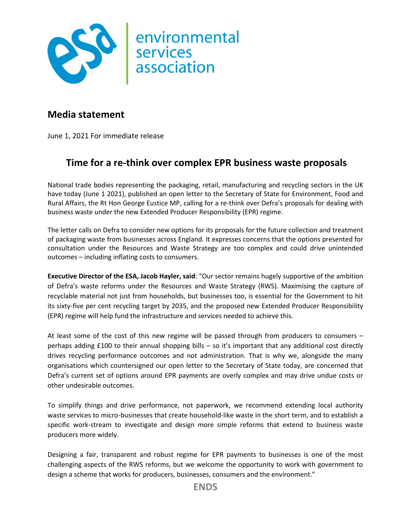

## **Media statement**

June 1, 2021 For immediate release

## **Time for a re-think over complex EPR business waste proposals**

National trade bodies representing the packaging, retail, manufacturing and recycling sectors in the UK have today (June 1 2021), published an open letter to the Secretary of State for Environment, Food and Rural Affairs, the Rt Hon George Eustice MP, calling for a re-think over Defra's proposals for dealing with business waste under the new Extended Producer Responsibility (EPR) regime.

The letter calls on Defra to consider new options for its proposals for the future collection and treatment of packaging waste from businesses across England. It expresses concerns that the options presented for consultation under the Resources and Waste Strategy are too complex and could drive unintended outcomes – including inflating costs to consumers.

**Executive Director of the ESA, Jacob Hayler, said**: "Our sector remains hugely supportive of the ambition of Defra's waste reforms under the Resources and Waste Strategy (RWS). Maximising the capture of recyclable material not just from households, but businesses too, is essential for the Government to hit its sixty-five per cent recycling target by 2035, and the proposed new Extended Producer Responsibility (EPR) regime will help fund the infrastructure and services needed to achieve this.

At least some of the cost of this new regime will be passed through from producers to consumers – perhaps adding £100 to their annual shopping bills – so it's important that any additional cost directly drives recycling performance outcomes and not administration. That is why we, alongside the many organisations which countersigned our open letter to the Secretary of State today, are concerned that Defra's current set of options around EPR payments are overly complex and may drive undue costs or other undesirable outcomes.

To simplify things and drive performance, not paperwork, we recommend extending local authority waste services to micro-businesses that create household-like waste in the short term, and to establish a specific work-stream to investigate and design more simple reforms that extend to business waste producers more widely.

Designing a fair, transparent and robust regime for EPR payments to businesses is one of the most challenging aspects of the RWS reforms, but we welcome the opportunity to work with government to design a scheme that works for producers, businesses, consumers and the environment."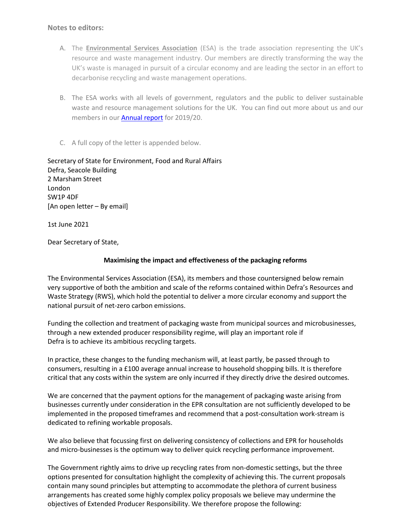## **Notes to editors:**

- A. The **Environmental Services Association** (ESA) is the trade association representing the UK's resource and waste management industry. Our members are directly transforming the way the UK's waste is managed in pursuit of a circular economy and are leading the sector in an effort to decarbonise recycling and waste management operations.
- B. The ESA works with all levels of government, regulators and the public to deliver sustainable waste and resource management solutions for the UK. You can find out more about us and our members in ou[r Annual report](http://www.esauk.org/application/files/2416/0647/4359/ESA_Annual_Report_201920.pdf) for 2019/20.
- C. A full copy of the letter is appended below.

Secretary of State for Environment, Food and Rural Affairs Defra, Seacole Building 2 Marsham Street London SW1P 4DF [An open letter – By email]

1st June 2021

Dear Secretary of State,

## **Maximising the impact and effectiveness of the packaging reforms**

The Environmental Services Association (ESA), its members and those countersigned below remain very supportive of both the ambition and scale of the reforms contained within Defra's Resources and Waste Strategy (RWS), which hold the potential to deliver a more circular economy and support the national pursuit of net-zero carbon emissions.

Funding the collection and treatment of packaging waste from municipal sources and microbusinesses, through a new extended producer responsibility regime, will play an important role if Defra is to achieve its ambitious recycling targets.

In practice, these changes to the funding mechanism will, at least partly, be passed through to consumers, resulting in a £100 average annual increase to household shopping bills. It is therefore critical that any costs within the system are only incurred if they directly drive the desired outcomes.

We are concerned that the payment options for the management of packaging waste arising from businesses currently under consideration in the EPR consultation are not sufficiently developed to be implemented in the proposed timeframes and recommend that a post-consultation work-stream is dedicated to refining workable proposals.

We also believe that focussing first on delivering consistency of collections and EPR for households and micro-businesses is the optimum way to deliver quick recycling performance improvement.

The Government rightly aims to drive up recycling rates from non-domestic settings, but the three options presented for consultation highlight the complexity of achieving this. The current proposals contain many sound principles but attempting to accommodate the plethora of current business arrangements has created some highly complex policy proposals we believe may undermine the objectives of Extended Producer Responsibility. We therefore propose the following: